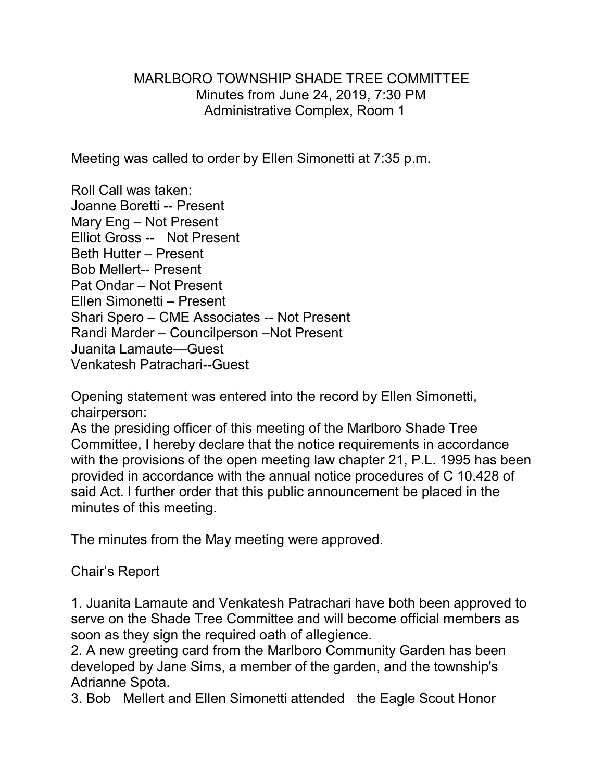### MARLBORO TOWNSHIP SHADE TREE COMMITTEE Minutes from June 24, 2019, 7:30 PM Administrative Complex, Room 1

Meeting was called to order by Ellen Simonetti at 7:35 p.m.

Roll Call was taken: Joanne Boretti -- Present Mary Eng – Not Present Elliot Gross -- Not Present Beth Hutter – Present Bob Mellert-- Present Pat Ondar – Not Present Ellen Simonetti – Present Shari Spero – CME Associates -- Not Present Randi Marder – Councilperson –Not Present Juanita Lamaute—Guest Venkatesh Patrachari--Guest

Opening statement was entered into the record by Ellen Simonetti, chairperson:

As the presiding officer of this meeting of the Marlboro Shade Tree Committee, I hereby declare that the notice requirements in accordance with the provisions of the open meeting law chapter 21, P.L. 1995 has been provided in accordance with the annual notice procedures of C 10.428 of said Act. I further order that this public announcement be placed in the minutes of this meeting.

The minutes from the May meeting were approved.

### Chair's Report

1. Juanita Lamaute and Venkatesh Patrachari have both been approved to serve on the Shade Tree Committee and will become official members as soon as they sign the required oath of allegience.

2. A new greeting card from the Marlboro Community Garden has been developed by Jane Sims, a member of the garden, and the township's Adrianne Spota.

3. Bob Mellert and Ellen Simonetti attended the Eagle Scout Honor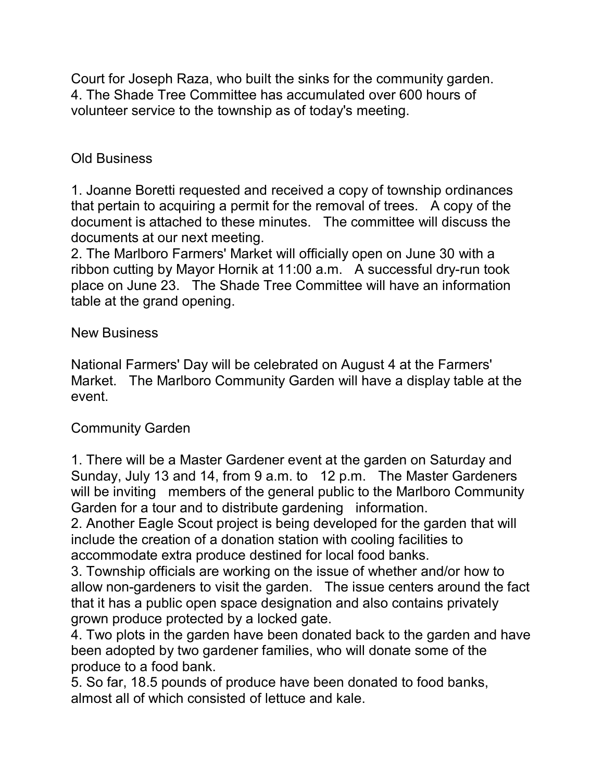Court for Joseph Raza, who built the sinks for the community garden. 4. The Shade Tree Committee has accumulated over 600 hours of volunteer service to the township as of today's meeting.

# Old Business

1. Joanne Boretti requested and received a copy of township ordinances that pertain to acquiring a permit for the removal of trees. A copy of the document is attached to these minutes. The committee will discuss the documents at our next meeting.

2. The Marlboro Farmers' Market will officially open on June 30 with a ribbon cutting by Mayor Hornik at 11:00 a.m. A successful dry-run took place on June 23. The Shade Tree Committee will have an information table at the grand opening.

## New Business

National Farmers' Day will be celebrated on August 4 at the Farmers' Market. The Marlboro Community Garden will have a display table at the event.

## Community Garden

1. There will be a Master Gardener event at the garden on Saturday and Sunday, July 13 and 14, from 9 a.m. to 12 p.m. The Master Gardeners will be inviting members of the general public to the Marlboro Community Garden for a tour and to distribute gardening information.

2. Another Eagle Scout project is being developed for the garden that will include the creation of a donation station with cooling facilities to accommodate extra produce destined for local food banks.

3. Township officials are working on the issue of whether and/or how to allow non-gardeners to visit the garden. The issue centers around the fact that it has a public open space designation and also contains privately grown produce protected by a locked gate.

4. Two plots in the garden have been donated back to the garden and have been adopted by two gardener families, who will donate some of the produce to a food bank.

5. So far, 18.5 pounds of produce have been donated to food banks, almost all of which consisted of lettuce and kale.